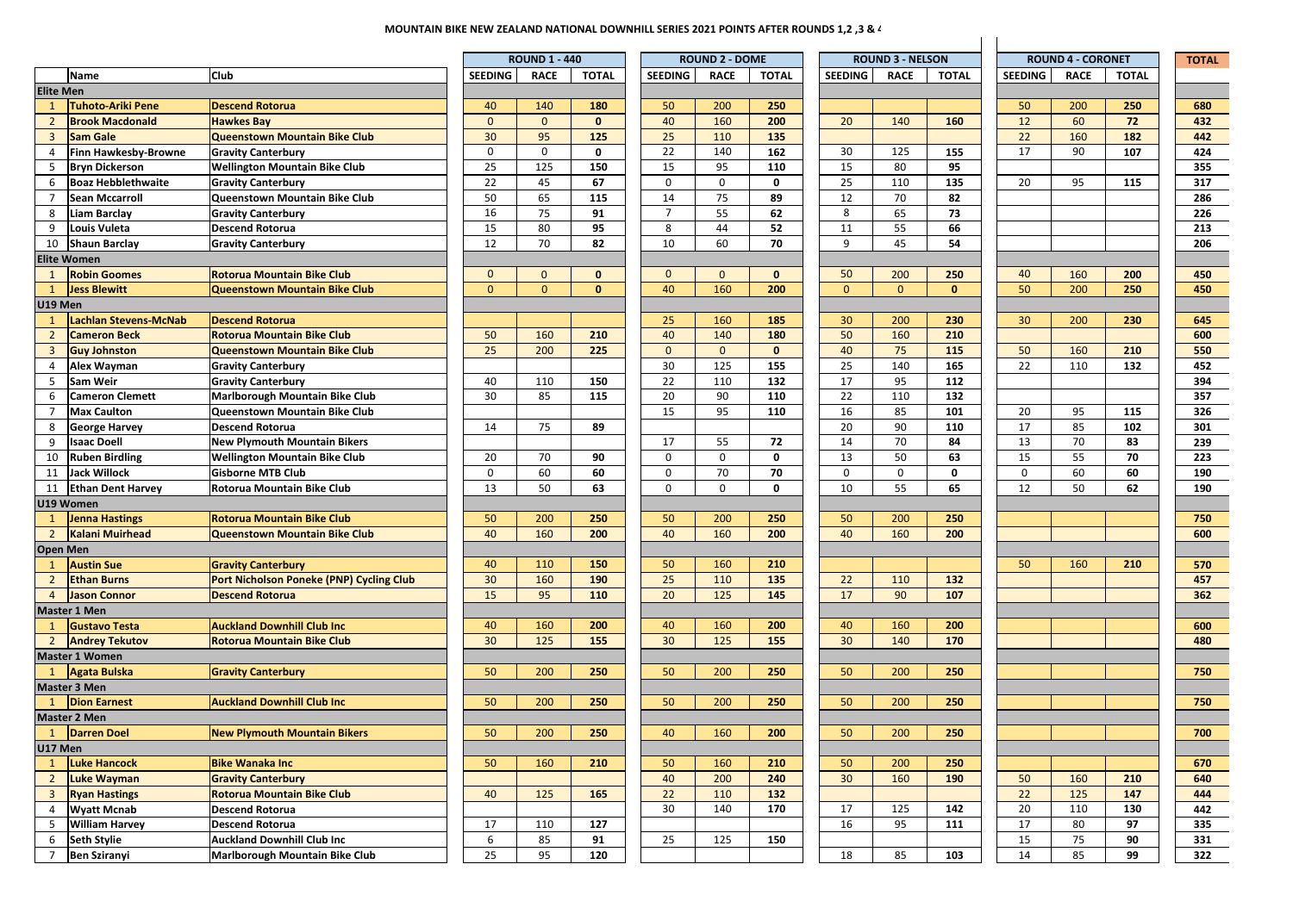## **MOUNTAIN BIKE NEW ZEALAND NATIONAL DOWNHILL SERIES 2021 POINTS AFTER ROUNDS 1,2 ,3 & 4**

|                  |                                            |                                          | <b>ROUND 1 - 440</b> |                |              | <b>ROUND 2 - DOME</b> |                   |              | <b>ROUND 3 - NELSON</b> |             |              |                 | <b>ROUND 4 - CORONET</b> |              | <b>TOTAL</b> |
|------------------|--------------------------------------------|------------------------------------------|----------------------|----------------|--------------|-----------------------|-------------------|--------------|-------------------------|-------------|--------------|-----------------|--------------------------|--------------|--------------|
|                  | <b>Name</b>                                | Club                                     | <b>SEEDING</b>       | <b>RACE</b>    | <b>TOTAL</b> | <b>SEEDING</b>        | <b>RACE</b>       | <b>TOTAL</b> | <b>SEEDING</b>          | <b>RACE</b> | <b>TOTAL</b> | <b>SEEDING</b>  | <b>RACE</b>              | <b>TOTAL</b> |              |
| <b>Elite Men</b> |                                            |                                          |                      |                |              |                       |                   |              |                         |             |              |                 |                          |              |              |
| 1                | <b>Tuhoto-Ariki Pene</b>                   | <b>Descend Rotorua</b>                   | 40                   | 140            | 180          | 50                    | 200               | 250          |                         |             |              | 50              | 200                      | 250          | 680          |
| $\overline{2}$   | <b>Brook Macdonald</b>                     | <b>Hawkes Bav</b>                        | $\mathbf{0}$         | $\mathbf{0}$   | $\mathbf{0}$ | 40                    | 160               | 200          | 20                      | 140         | 160          | 12              | 60                       | 72           | 432          |
| $\overline{3}$   | <b>Sam Gale</b>                            | <b>Queenstown Mountain Bike Club</b>     | 30 <sup>°</sup>      | 95             | 125          | 25                    | 110               | 135          |                         |             |              | 22              | 160                      | 182          | 442          |
| 4                | Finn Hawkesby-Browne                       | <b>Gravity Canterbury</b>                | $\mathsf 0$          | $\mathbf 0$    | $\mathbf{0}$ | 22                    | 140               | 162          | 30                      | 125         | 155          | 17              | 90                       | 107          | 424          |
| 5                | <b>Bryn Dickerson</b>                      | <b>Wellington Mountain Bike Club</b>     | 25                   | 125            | 150          | 15                    | 95                | 110          | 15                      | 80          | 95           |                 |                          |              | 355          |
| 6                | <b>Boaz Hebblethwaite</b>                  | <b>Gravity Canterbury</b>                | 22                   | 45             | 67           | 0                     | 0                 | 0            | 25                      | 110         | 135          | 20              | 95                       | 115          | 317          |
|                  | <b>Sean Mccarroll</b>                      | Queenstown Mountain Bike Club            | 50                   | 65             | 115          | 14                    | 75                | 89           | 12                      | 70          | 82           |                 |                          |              | 286          |
| 8                | <b>Liam Barclay</b>                        | <b>Gravity Canterbury</b>                | 16                   | 75             | 91           | $\overline{7}$        | 55                | 62           | 8                       | 65          | 73           |                 |                          |              | 226          |
| 9                | Louis Vuleta                               | <b>Descend Rotorua</b>                   | 15                   | 80             | 95           | 8                     | 44                | 52           | 11                      | 55          | 66           |                 |                          |              | 213          |
| 10               | <b>Shaun Barclay</b>                       | <b>Gravity Canterbury</b>                | 12                   | 70             | 82           | 10                    | 60                | 70           | 9                       | 45          | 54           |                 |                          |              | 206          |
|                  | <b>Elite Women</b>                         |                                          |                      |                |              |                       |                   |              |                         |             |              |                 |                          |              |              |
|                  | <b>Robin Goomes</b>                        | <b>Rotorua Mountain Bike Club</b>        | $\mathbf{0}$         | $\overline{0}$ | $\mathbf{0}$ | $\mathbf{0}$          | $\mathbf{0}$      | $\mathbf{0}$ | 50                      | 200         | 250          | 40              | 160                      | 200          | 450          |
| $\mathbf{1}$     | <b>Jess Blewitt</b>                        | Queenstown Mountain Bike Club            | $\Omega$             | $\overline{0}$ | $\mathbf{0}$ | 40                    | 160               | 200          | $\Omega$                | $\Omega$    | $\mathbf{0}$ | 50              | 200                      | 250          | 450          |
| U19 Men          |                                            |                                          |                      |                |              |                       |                   |              |                         |             |              |                 |                          |              |              |
| 1                | <b>Lachlan Stevens-McNab</b>               | <b>Descend Rotorua</b>                   |                      |                |              | 25                    | 160               | 185          | 30 <sub>o</sub>         | 200         | 230          | 30 <sup>°</sup> | 200                      | 230          | 645          |
| $\overline{2}$   | <b>Cameron Beck</b>                        | <b>Rotorua Mountain Bike Club</b>        | 50                   | 160            | 210          | 40                    | 140               | 180          | 50                      | 160         | 210          |                 |                          |              | 600          |
| $\overline{3}$   | <b>Guy Johnston</b>                        | Queenstown Mountain Bike Club            | 25                   | 200            | 225          | $\Omega$              | $\mathbf{0}$      | $\mathbf{0}$ | 40                      | 75          | 115          | 50              | 160                      | 210          | 550          |
| 4                | Alex Wayman                                | <b>Gravity Canterbury</b>                |                      |                |              | 30                    | 125               | 155          | 25                      | 140         | 165          | 22              | 110                      | 132          | 452          |
| 5                | Sam Weir                                   | <b>Gravity Canterbury</b>                | 40                   | 110            | 150          | 22                    | 110               | 132          | 17                      | 95          | 112          |                 |                          |              | 394          |
| 6                | <b>Cameron Clemett</b>                     | <b>Marlborough Mountain Bike Club</b>    | 30                   | 85             | 115          | 20                    | 90                | 110          | 22                      | 110         | 132          |                 |                          |              | 357          |
| $\overline{7}$   |                                            | Queenstown Mountain Bike Club            |                      |                |              | 15                    | 95                | 110          | 16                      | 85          | 101          | 20              | 95                       | 115          | 326          |
|                  | <b>Max Caulton</b><br><b>George Harvey</b> | <b>Descend Rotorua</b>                   | 14                   | 75             | 89           |                       |                   |              | 20                      | 90          | 110          | 17              | 85                       | 102          | 301          |
| 8<br>9           | <b>Isaac Doell</b>                         |                                          |                      |                |              | 17                    |                   | 72           | 14                      | 70          | 84           | 13              | 70                       | 83           | 239          |
|                  |                                            | <b>New Plymouth Mountain Bikers</b>      | 20                   | 70             | 90           | $\mathbf 0$           | 55<br>$\mathbf 0$ | 0            | 13                      | 50          | 63           | 15              | 55                       | 70           |              |
| 10               | <b>Ruben Birdling</b>                      | <b>Wellington Mountain Bike Club</b>     | $\mathbf 0$          |                |              |                       |                   |              | $\mathbf 0$             | $\mathbf 0$ | $\Omega$     | 0               |                          |              | 223          |
| 11               | <b>Jack Willock</b>                        | <b>Gisborne MTB Club</b>                 |                      | 60             | 60           | $\mathbf 0$           | 70                | 70           | 10                      |             | 65           |                 | 60                       | 60           | 190          |
| 11               | <b>Ethan Dent Harvey</b>                   | Rotorua Mountain Bike Club               | 13                   | 50             | 63           | 0                     | $\mathbf 0$       | 0            |                         | 55          |              | 12              | 50                       | 62           | 190          |
|                  | U19 Women                                  |                                          |                      |                |              |                       |                   |              |                         |             |              |                 |                          |              |              |
| <sup>1</sup>     | Jenna Hastings                             | <b>Rotorua Mountain Bike Club</b>        | 50                   | 200            | 250          | 50                    | 200               | 250          | 50                      | 200         | 250          |                 |                          |              | 750          |
| $\overline{2}$   | <b>Kalani Muirhead</b>                     | <b>Queenstown Mountain Bike Club</b>     | 40                   | 160            | 200          | 40                    | 160               | 200          | 40                      | 160         | 200          |                 |                          |              | 600          |
|                  | <b>Open Men</b>                            |                                          |                      |                |              |                       |                   |              |                         |             |              |                 |                          |              |              |
|                  | <b>Austin Sue</b>                          | <b>Gravity Canterbury</b>                | 40                   | 110            | 150          | 50                    | 160               | 210          |                         |             |              | 50              | 160                      | 210          | 570          |
| $\overline{2}$   | <b>Ethan Burns</b>                         | Port Nicholson Poneke (PNP) Cycling Club | 30                   | 160            | 190          | 25                    | 110               | 135          | 22                      | 110         | 132          |                 |                          |              | 457          |
| $\overline{4}$   | <b>Jason Connor</b>                        | <b>Descend Rotorua</b>                   | 15                   | 95             | 110          | 20                    | 125               | 145          | 17                      | 90          | 107          |                 |                          |              | 362          |
|                  | <b>Master 1 Men</b>                        |                                          |                      |                |              |                       |                   |              |                         |             |              |                 |                          |              |              |
|                  | <b>Gustavo Testa</b>                       | <b>Auckland Downhill Club Inc</b>        | 40                   | 160            | 200          | 40                    | 160               | 200          | 40                      | 160         | 200          |                 |                          |              | 600          |
| $\overline{2}$   | <b>Andrey Tekutov</b>                      | <b>Rotorua Mountain Bike Club</b>        | 30 <sup>°</sup>      | 125            | 155          | 30                    | 125               | 155          | 30 <sub>o</sub>         | 140         | 170          |                 |                          |              | 480          |
|                  | <b>Master 1 Women</b>                      |                                          |                      |                |              |                       |                   |              |                         |             |              |                 |                          |              |              |
| $\mathbf{1}$     | Agata Bulska                               | <b>Gravity Canterbury</b>                | 50                   | 200            | 250          | 50                    | 200               | 250          | 50                      | 200         | 250          |                 |                          |              | 750          |
|                  | <b>Master 3 Men</b>                        |                                          |                      |                |              |                       |                   |              |                         |             |              |                 |                          |              |              |
| <sup>1</sup>     | <b>Dion Earnest</b>                        | <b>Auckland Downhill Club Inc</b>        | 50                   | 200            | 250          | 50                    | 200               | 250          | 50                      | 200         | 250          |                 |                          |              | 750          |
|                  | <b>Master 2 Men</b>                        |                                          |                      |                |              |                       |                   |              |                         |             |              |                 |                          |              |              |
| $\mathbf{1}$     | <b>Darren Doel</b>                         | <b>New Plymouth Mountain Bikers</b>      | 50                   | 200            | 250          | 40                    | 160               | 200          | 50                      | 200         | 250          |                 |                          |              | 700          |
| U17 Men          |                                            |                                          |                      |                |              |                       |                   |              |                         |             |              |                 |                          |              |              |
| $\mathbf{1}$     | Luke Hancock                               | <b>Bike Wanaka Inc</b>                   | 50                   | 160            | 210          | 50                    | 160               | 210          | 50                      | 200         | 250          |                 |                          |              | 670          |
| $\overline{2}$   | Luke Wayman                                | <b>Gravity Canterbury</b>                |                      |                |              | 40                    | 200               | 240          | 30 <sup>°</sup>         | 160         | 190          | 50              | 160                      | 210          | 640          |
| $\overline{3}$   | <b>Ryan Hastings</b>                       | <b>Rotorua Mountain Bike Club</b>        | 40                   | 125            | 165          | 22                    | 110               | 132          |                         |             |              | 22              | 125                      | 147          | 444          |
| $\overline{4}$   | <b>Wyatt Mcnab</b>                         | <b>Descend Rotorua</b>                   |                      |                |              | 30                    | 140               | 170          | 17                      | 125         | 142          | 20              | 110                      | 130          | 442          |
| 5                | <b>William Harvey</b>                      | <b>Descend Rotorua</b>                   | 17                   | 110            | 127          |                       |                   |              | 16                      | 95          | 111          | 17              | 80                       | 97           | 335          |
| 6                | <b>Seth Stylie</b>                         | <b>Auckland Downhill Club Inc</b>        | 6                    | 85             | 91           | 25                    | 125               | 150          |                         |             |              | 15              | 75                       | 90           | 331          |
| $\overline{7}$   | <b>Ben Sziranyi</b>                        | Marlborough Mountain Bike Club           | 25                   | 95             | 120          |                       |                   |              | 18                      | 85          | 103          | 14              | 85                       | 99           | 322          |